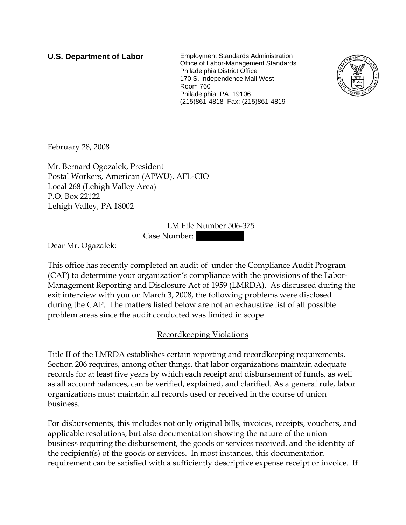**U.S. Department of Labor** Employment Standards Administration Office of Labor-Management Standards Philadelphia District Office 170 S. Independence Mall West Room 760 Philadelphia, PA 19106 (215)861-4818 Fax: (215)861-4819



February 28, 2008

Mr. Bernard Ogozalek, President Postal Workers, American (APWU), AFL-CIO Local 268 (Lehigh Valley Area) P.O. Box 22122 Lehigh Valley, PA 18002

> LM File Number 506-375 Case Number: ||||||||||

Dear Mr. Ogazalek:

This office has recently completed an audit of under the Compliance Audit Program (CAP) to determine your organization's compliance with the provisions of the Labor-Management Reporting and Disclosure Act of 1959 (LMRDA). As discussed during the exit interview with you on March 3, 2008, the following problems were disclosed during the CAP. The matters listed below are not an exhaustive list of all possible problem areas since the audit conducted was limited in scope.

## Recordkeeping Violations

Title II of the LMRDA establishes certain reporting and recordkeeping requirements. Section 206 requires, among other things, that labor organizations maintain adequate records for at least five years by which each receipt and disbursement of funds, as well as all account balances, can be verified, explained, and clarified. As a general rule, labor organizations must maintain all records used or received in the course of union business.

For disbursements, this includes not only original bills, invoices, receipts, vouchers, and applicable resolutions, but also documentation showing the nature of the union business requiring the disbursement, the goods or services received, and the identity of the recipient(s) of the goods or services. In most instances, this documentation requirement can be satisfied with a sufficiently descriptive expense receipt or invoice. If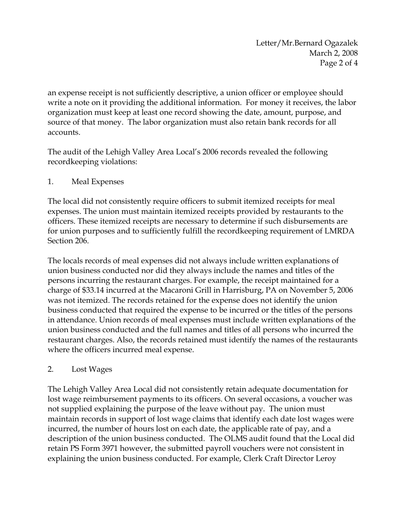an expense receipt is not sufficiently descriptive, a union officer or employee should write a note on it providing the additional information. For money it receives, the labor organization must keep at least one record showing the date, amount, purpose, and source of that money. The labor organization must also retain bank records for all accounts.

The audit of the Lehigh Valley Area Local's 2006 records revealed the following recordkeeping violations:

## 1. Meal Expenses

The local did not consistently require officers to submit itemized receipts for meal expenses. The union must maintain itemized receipts provided by restaurants to the officers. These itemized receipts are necessary to determine if such disbursements are for union purposes and to sufficiently fulfill the recordkeeping requirement of LMRDA Section 206.

The locals records of meal expenses did not always include written explanations of union business conducted nor did they always include the names and titles of the persons incurring the restaurant charges. For example, the receipt maintained for a charge of \$33.14 incurred at the Macaroni Grill in Harrisburg, PA on November 5, 2006 was not itemized. The records retained for the expense does not identify the union business conducted that required the expense to be incurred or the titles of the persons in attendance. Union records of meal expenses must include written explanations of the union business conducted and the full names and titles of all persons who incurred the restaurant charges. Also, the records retained must identify the names of the restaurants where the officers incurred meal expense.

### 2. Lost Wages

The Lehigh Valley Area Local did not consistently retain adequate documentation for lost wage reimbursement payments to its officers. On several occasions, a voucher was not supplied explaining the purpose of the leave without pay. The union must maintain records in support of lost wage claims that identify each date lost wages were incurred, the number of hours lost on each date, the applicable rate of pay, and a description of the union business conducted. The OLMS audit found that the Local did retain PS Form 3971 however, the submitted payroll vouchers were not consistent in explaining the union business conducted. For example, Clerk Craft Director Leroy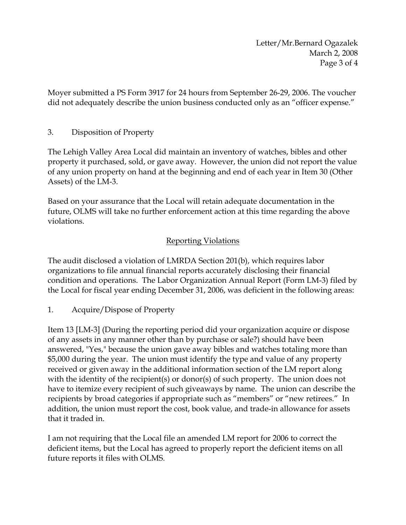Letter/Mr.Bernard Ogazalek March 2, 2008 Page 3 of 4

Moyer submitted a PS Form 3917 for 24 hours from September 26-29, 2006. The voucher did not adequately describe the union business conducted only as an "officer expense."

## 3. Disposition of Property

The Lehigh Valley Area Local did maintain an inventory of watches, bibles and other property it purchased, sold, or gave away. However, the union did not report the value of any union property on hand at the beginning and end of each year in Item 30 (Other Assets) of the LM-3.

Based on your assurance that the Local will retain adequate documentation in the future, OLMS will take no further enforcement action at this time regarding the above violations.

## Reporting Violations

The audit disclosed a violation of LMRDA Section 201(b), which requires labor organizations to file annual financial reports accurately disclosing their financial condition and operations. The Labor Organization Annual Report (Form LM-3) filed by the Local for fiscal year ending December 31, 2006, was deficient in the following areas:

1. Acquire/Dispose of Property

Item 13 [LM-3] (During the reporting period did your organization acquire or dispose of any assets in any manner other than by purchase or sale?) should have been answered, "Yes," because the union gave away bibles and watches totaling more than \$5,000 during the year. The union must identify the type and value of any property received or given away in the additional information section of the LM report along with the identity of the recipient(s) or donor(s) of such property. The union does not have to itemize every recipient of such giveaways by name. The union can describe the recipients by broad categories if appropriate such as "members" or "new retirees." In addition, the union must report the cost, book value, and trade-in allowance for assets that it traded in.

I am not requiring that the Local file an amended LM report for 2006 to correct the deficient items, but the Local has agreed to properly report the deficient items on all future reports it files with OLMS.